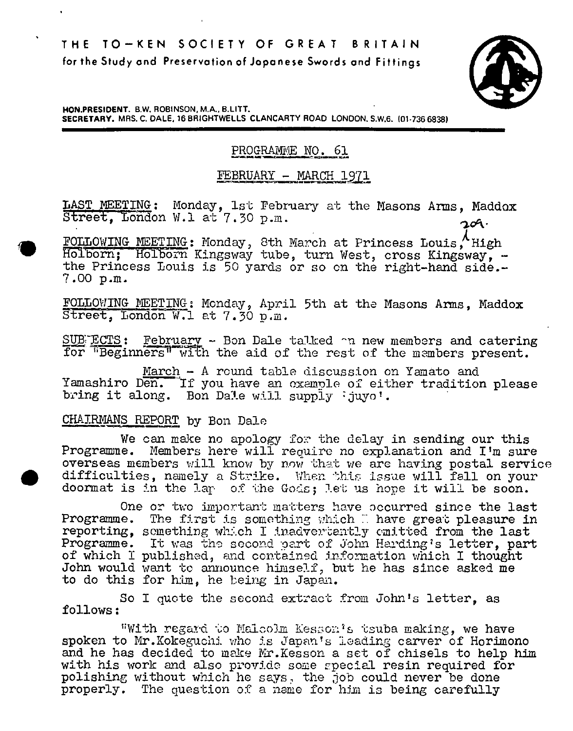

**HON.PRESIDENT. B.W. ROBINSON, MA., B.LITT. SECRETARY. MRS. C. DALE, 16 BRIGHIWELLS CLANCARTY ROAD LONDON. S.W,6. (01736 6838)** 

# PROGRAMME NO. 61

## FEBRUARY - MARCH 1971

LAST MEETING: Monday, 1st February at the Masons Arms, Maddox Street, London W.l at 7.30 p.m.  $200 \cdot$ 

FOLLOWING MEETING: Monday, 8th March at Princess Louis, High<br>Holborn; Holborn Kingsway tube, turn West, cross Kingsway, the Princess Louis is 50 yards or so on the right-hand side.- 7.00 P.M.

FOLLOWING MEETING: Monday, April 5th at the Masons Arms, Maddox Street, London W.l at 7.30 p.m.

SUB ECTS: February - Bon Dale talked on new members and catering for "Beginners" with the aid of the rest of the members present.

March - A round table discussion on Yamato and Yamashiro Den. If you have an example of either tradition please bring it along. Bon Dale will supply : juyo'.

CHAIRMANS REPORT by Bon Dale

We can make no apology for the delay in sending our this Programme. Members here will require no explanation and I'm sure overseas members will know by now that we are having postal service difficulties, namely a Strike. When this issue will fall on your doormat is in the lap of the Gods; let us hope it will be soon.

One or two important matters have accurred since the last Programme. The first is something which I have great pleasure in reporting, something which I inadvertently omitted from the last Programme. It was the second part of John Harding's letter, part of which I published, and contained information which I thought John would want to announce himself, but he has since asked me to do this for him, he being in Japan.

So I quote the second extract from John's letter, as follows:

With regard to Malcolm Kesson's tsuba making, we have spoken to Mr.Kokeguchi who is Japan's leading carver of Horimono and he has decided to make Mr.Kesson a set of chisels to help him with his work and also provide some special resin required for polishing without which he says, the job could never be done properly. The question of a name for him is being carefully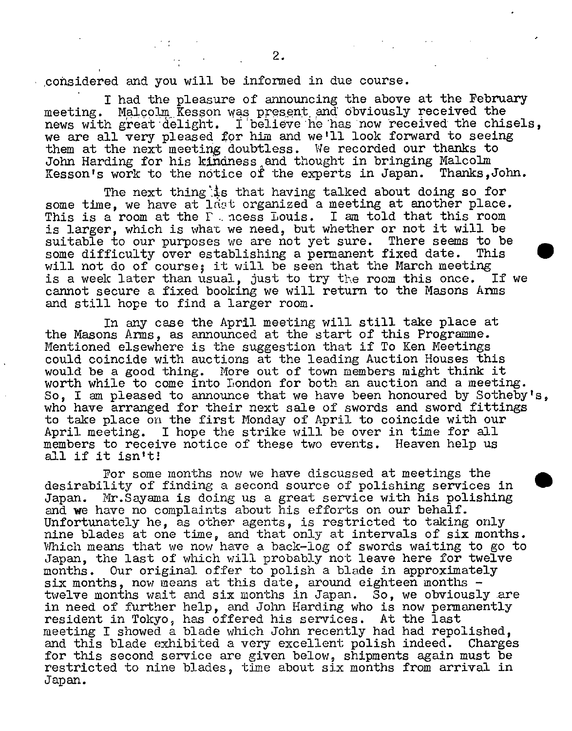considered and you will be informed in due course.

I had the pleasure of announcing the above at the February meeting. Malcolm Kesson was present and obviously received the news with great delight. I believe he has now received the chisels, we are all very pleased for him and we'll look forward to seeing them at the next meeting doubtless. We recorded our thanks to John Harding for his kindness and thought in bringing Malcolm Kesson's work to the notice of the experts in Japan. Thanks, John.

The next thing is that having talked about doing so for some time, we have at ldat organized a meeting at another place. This is a room at the  $F$  ncess Louis. I am told that this room is larger, which is what we need, but whether or not it will be suitable to our purposes we are not yet sure. There seems to be some difficulty over establishing a permanent fixed date. This some difficulty over establishing a permanent fixed date. will not do of course; it will be seen that the March meeting<br>is a week later than usual, just to try the room this once. If we is a week later than usual, just to try the room this once. cannot secure a fixed booking we will return to the Masons Arms and still hope to find a larger room.

In any case the April meeting will still take place at the Masons Arms, as announced at the start of this Programme. Mentioned elsewhere is the suggestion that if To Ken Meetings could coincide with auctions at the leading Auction Houses this would be a good thing. More out of town members might think it worth while to come into London for both an auction and a meeting. So, I am pleased to announce that we have been honoured by Sotheby's, who have arranged for their next sale of swords and sword fittings to take place on the first Monday of April to coincide with our April meeting. I hope the strike will be over in time for all members to receive notice of these two events. Heaven help us all if it isn't!

For some months now we have discussed at meetings the desirability of finding a second source of polishing services in Japan. Mr.Sayama is doing us a great service with his polishing and **we** have no complaints about his efforts on our behalf. Unfortunately he, as other agents, is restricted to taking only nine blades at one time, and that only at intervals of six months. Which means that we now have a back-log of swords waiting to go to Japan, the last of which will probably not leave here for twelve months. Our original offer to polish a blade in approximately six months, now means at this date, around eighteen months  $$ twelve months wait and six months in Japan. So, we obviously are in need of further help, and John Harding who is now permanently resident in Tokyo, has offered his services. At the last meeting I showed a blade which John recently had had repolished, and this blade exhibited a very excellent polish indeed. Charges for this second service are given below, shipments again must be restricted to nine blades, time about six months from arrival in Japan.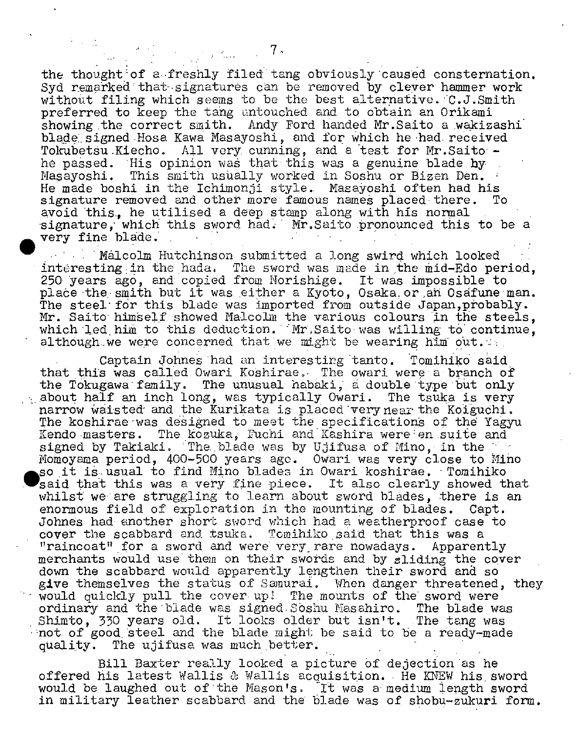the thought: of a. freshly filed tang obviously caused consternation. Syd remarked that signatures can be removed by clever hammer work without filing which seems to be the best alternative. C.J.Smith preferred to keep the tang untouched and to obtain an Orikami showing the correct smith. Andy Ford handed Mr.Saito a wakizashi blade signed Hosa Kawa Masayoshi, and for which he had received Tokubetsu Kiecho. All very cunning, and a test for Mr.Saito he passed. His opinion was that this was a genuine blade by Masayoshi. This smith usually worked in Soshu or Bizen Den. He made boshi in the Ichimonji style.. Masaroshi often had his signature removed and other more famous names placed there. To avoid this., he utilised a deep stamp along with his normal signature, which this sword had. Mr.Saito pronounced this to be a very fine blade.

Malcolm Hutchinson submitted a long swird which looked interesting in the hada. The sword was made in the mid-Edo period, 250 years ago, and copied from Norishige. It was impossible to place the smith but it was either a Kyoto, Osaka or an Osafune man. The steel for this blade was imported from outside Japan, probably. Mr. Saito himself showed Malcolm the various colours in the steels, which led him to this deduction. Mr. Saito was willing to continue, although we were concerned that we might be wearing him out.

Captain Johnes had an interesting "tanto. Tomihikd said that this was called Owari Koshirae. The owari were a branch of the Tokugawa family. The unusual habaki, a double type but only The unusual habaki, a double type but only  $\sim$  about half an inch long, was typically Owari. The tsuka is very narrow waisted and the Kurikata is placed verynear the Koiguchi. The koshirae was designed to meet the specifications of the Yagyu Kendo masters. The kozuka, Fuchi and Kashira were en suite and signed by Takiaki. The blade was by Ujifusa of Mino, in the Momoyama period, 400-500 years ago. Owari was very close to Mino  $\bullet$ so it is usual to find Mino blades in Owari koshirae. Tomihiko said that this was a very fine piece. It also clearly showed that whilst we are struggling to learn about sword blades, there is an enormous field of exploration in the mounting of blades. Capt. Johnes had enother short sword which had a weatherproof case to cover the scabbard and tsuka. Tomihiko said that this was a "raincoat" for a sword and were very rare nowadays. Apparently merchants would use them on their swords and by sliding the cover down the scabbard would apparently lengthen their sword and so give themselves the status of Samurai. When danger threatened, they would quickly pull the cover up! The mounts of the sword were ordinary and the blade was signed Soshu Masahiro. The blade was Shimto, 330 years old. It looks older but isn't. The tang was not of good steel and the blade might be said to be a ready-made quality. The ujifusa was much better.

Bill Baxter really looked, a picture Of dejection as he offered his latest Wallis & Wallis acquisition. He KNEW his sword would be laughed out of the Mason's. It was a medium length sword in military leather scabbard and the blade was of shobu-zukuri form.

 $\mathcal{L}_{\text{max}}$ 

 $\mathcal{L}^{\text{max}}_{\text{max}}$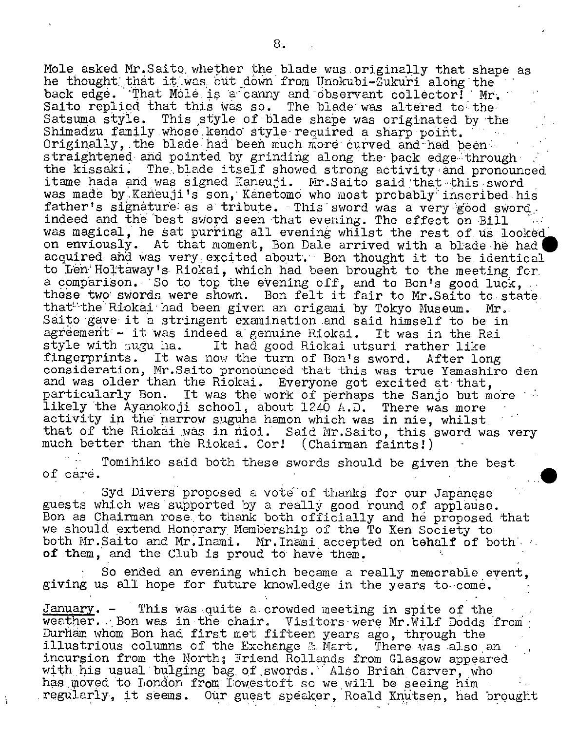Mole asked Mr.SaitQ. whether the blade was.originally that shape as he thought that it was cut down from Unokubi-Zukuri along the back edge. That Mole is a canny and observant collector! Mr. Saito replied that this was so. The blade was altered to the Satsuma style. This style of blade shape was originated by the Shimadzu family whose kendo style required a sharp point. Originally, the blade had been much more curved and had beenstraightened and pointed by grinding along the back edge-through the kissaki. The blade itself showed strong activity and pronounced itame hada and was signed Kaneuji. Mr.Saito said that this sword was made by Kaneuji's son, Kanetomo who most probably inscribed his father's signature as a tribute. This sword was a very good sword. indeed and the best sword seen that evening. The effect on Bill was magical, he sat purring all evening whilst the rest of us looked on enviously. At that moment, Bon Dale arrived with a blade he had acquired and was very excited about. Bon thought it to be identical to Len Holtaway's Riokai, which had been brought to the meeting for. a comparison. So to top the evening off, and to Bon's good luck, ... these two swords were shown. Bon felt it fair to Mr.Saito to state. that the Riokai had been given an origani by Tokyo Museum. Mr. Saito gave it a stringent examination and said himself to be in agreement - it was indeed a genuine Riokai. It was in the Rai style with 5ugu ha. It had good Riokai utsuri rather like fingerprints. It was now the turn of Eon's sword. After long consideration, Mr.Saito pronounced that this was true Yamashiro den and was older than the Riokai. Everyone got excited at that, particularly Bon. It was the work of perhaps the Sanjo but more likely the Ayanokoji school, about  $1240$  A.D. There was more activity in the narrow suguha hamon which was in nie, whilst that of the Riokai was in nioi. Said Mr. Saito, this sword was very much better than the Riokai. Cor! (Chairman faints!)

Tomihiko said both these swords should be given the best of care.  $\sigma$  care.  $\sigma$  -  $\sigma$  -  $\sigma$  -  $\sigma$  -  $\sigma$  -  $\sigma$  -  $\sigma$  -  $\sigma$  -  $\sigma$  -  $\sigma$  -  $\sigma$ 

Syd Divers proposed a vote of thanks for our Japanese guests which was supported by a really good round of applause. Eon as Chairman rose, to thank both officially and he proposed that we should extend Honorary Membership of the To Ken Society to both Mr.Saito and Mr.Inami. Mr.Inami accepted on behalf of both  $\sim$ of them, and the Club is proud to have them.

So ended an evening which became- a really memorable event, giving us all hope for future knowledge in the years to come.

January. - This was quite a crowded meeting in spite of the weather. Bon was in the chair. Visitors were Mr.Wilf Dodds from Durham whom Bon had first met fifteen years ago, through the illustrious columns of the Exchange & Mart. There was also an incursion from the North; Friend Rollands from Glasgow appeared with his usual bulging bag of swords. Also Brian Carver, who has moved to London from Lowestoft so we will be seeing him<br>regularly, it seems. Our guest speaker, Roald Knutsen, had brought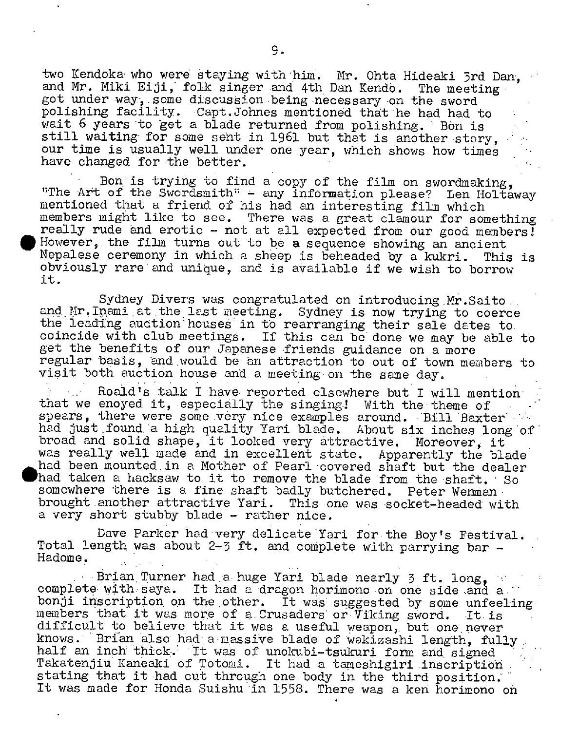two Kendoka who were staying with him. Mr. Ohta Hideaki 3rd Dan. and Mr. Miki Eiji, folk singer and 4th Dan Kendo. The meeting got under way, some discussion being necessary on the sword polishing facility. •Capt.Johnes mentioned that he had had to wait 6 years to get a blade returned from polishing. Bon is still waiting for some sent in 1961 but that is another story, our time is usually well under one year, which shows how times have changed for the better.

Bon is trying to find a copy of the film on swordmaking, "The Art of the Swordsmith" - any information please? Len Holtaway mentioned that a friend of his had an interesting film which members might like to see. There was a great clamour for something really rude and erotic - not at all expected from our good members! However, the film turns out to be a sequence showing an ancient Nepalese ceremony in which a sheep is beheaded by a kukri. This is obviously rare'and unique, and is available if we wish to borrow it.

Sydney Divers was congratulated on introducing Mr. Saito., and Mr. Inami at the last meeting. Sydney is now trying to coerce the leading auction houses in to rearranging their sale dates to. coincide with club meetings. If this can be done we may be able to get the benefits of our Japanese friends guidance on a more regular basis, and would be an attraction to out of town members to visit both auction house and a meeting on the same day.

Roald's talk I'have- reported elsewhere but I will mention' that we enoyed it, especially the singing! With the theme of spears, there were some very nice examples around. Bill Baxter had just found'a high quality Yari blade. About six inches long'of' broad and solid shape, it looked very attractive. Moreover, it was really well made and in excellent state. Apparently the blade had been mounted in a Mother of Pearl covered shaft but the dealer had taken a hacksaw to it to remove the blade from the shaft. 'So somewhere there is a fine shaft badly butchered. Peter Wenman brought another attractive Yari. This one was socket-headed with a very short stubby blade - rather nice.

Dave Parker had'very delicate'Yari for the Boy's Festival. Total length was about 2-3 ft. and complete with parrying bar -Hadome.

Brian Turner had a huge Yari blade nearly 3 ft. long, complete with saya. It had a dragon horimono on one side and a." bonji inscription on the other. It was suggested by some unfeeling members that it was more of a Crusaders or Viking sword. It is members that it was more of a Crusaders or  $\bar{V}$ iking sword. difficult to believe that it was a useful weapon,, but one never knows. Brian also had a massive blade of wakizashi length, fully, half an inch thick. It was of unokubi-tsukuri form and signed half an inch thick. It was of unokubi-tsukuri form and signed<br>Takatenjiu Kaneaki of Totomi. It had a tameshigiri inscription stating that it had cut through one body in the third position. It was made for Honda Suishu in 1558. There was a ken horimono on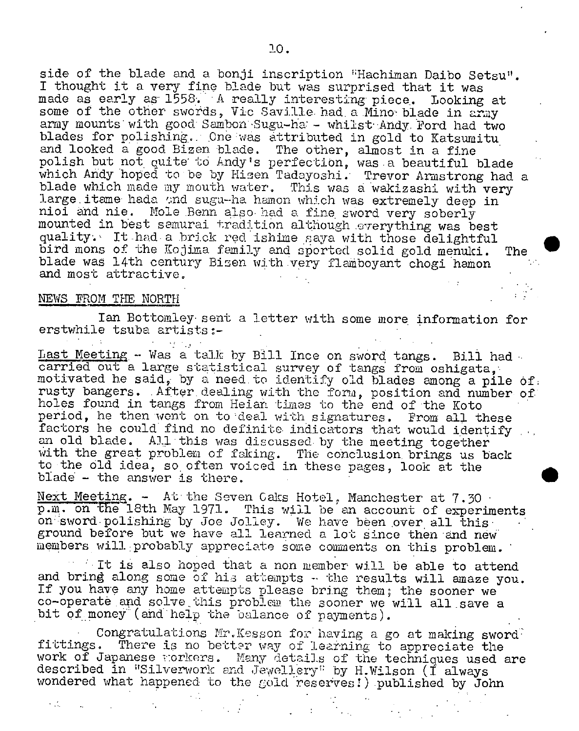side of the blade and a bonji inscription "Hachiman Daibo Setsu". I thought it a very fipe blade but was surprised that it was made as early as 1558. A really interesting piece. Looking at some of the other swords, Vic Saville- had a Mino blade in army army mounts with good Sambon Sugu-ha: - whilst Andy. Ford had two blades for polishing. One was attributed in gold to Katsumitu and looked a good Bizen blade. The other, almost in a fine polish but not quite to Andy's perfection, was a beautiful blade which Andy hoped to be by Hisen Tadayoshi. Trevor Armstrong had a blade which made my mouth water. This was a wakizashi with very large itame hada and sugu-ha hamon which was extremely deep in nioi and nie. Mole Bonn also had a fine sword very soberly mounted in best samurai tradition although everything was best quality. It had a *brick* red ishime saya with those delightful bird mons of the Kojima family and sported solid gold menuki. The blade was 14th century Bizen with very flamboyant chogi hamon and most attractive,

#### NEWS FROM THE NORTH

 $\sim 10^6$ 

Ian Bottomley sent a letter with some more information for erstwhile tsuba artists:-

Last Meeting - Was a talk by Bill Ince on sword tangs. Bill had carried out a large statistical survey of tangs from oshigata, motivated he said, by a need to identify old blades among a pile of. rusty bangers. After dealing with the form, position and number of holes found in tangs from Heian tines to the end of the Koto period, he then wont on to deal with signatures. From all these factors he could find no definite indicators that would identify an old blade. All this was discussed by the meeting together with the great problem of faking. The conclusion brings us back to the Old idea, so often voiced in these pages, look at the blade - the answer is there.

Next Meeting. - At the Seven Caks Hotel, Manchester at 7.30. p.m. on the 18th May 1971. This will be an account of experiments on sword polishing by Joe Jolley. We have been over all this ground before but we have all learned a lot since then and new members will probably appreciate some comments on this problem.

It is also hoped that a non member will be able to attend and bring along some of his attempts - the results will amaze you. If you have any home attempts please bring them; the sooner we co-operate and solve. this problem the sooner we will all save a bit of money (and help the balance of payments).

Congratulations Mr.Kesson for having a go at making sword fittings. There is no better way of learning to appreciate the work of Japanese morkers. Many details of the techniques used are described in "Silverwork and Jewellery" by H.Wilson (I always wondered what happened to the gold reserves!) published by John

 $\Delta \phi = 1$  , where  $\Delta \phi = 1$ 

 $\epsilon = \frac{1}{2}$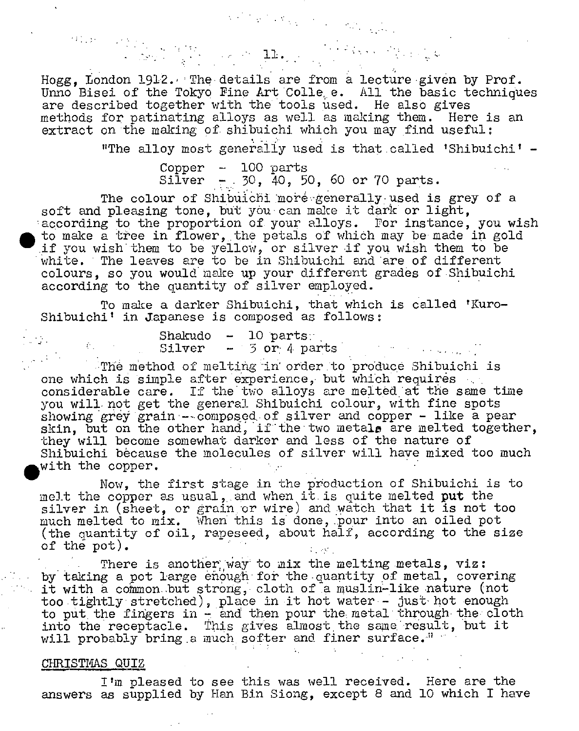Hogg, London 1912. The details are from a lecture given by Prof. Unno Bisei of the Tokyo Fine Art Colle e. All the basic techniques are described together with the tools used. He also gives methods for patinating alloys as well as making them. Here is an extract on the making of shibuichi which you may find useful:

 $\label{eq:2} \mathcal{L}(\mathcal{L}^{(1)}_{\mathcal{L}}\otimes\mathcal{L}^{(1)})\otimes\mathcal{L}_{\mathcal{L}^{(1)}_{\mathcal{L}}\otimes\mathcal{L}^{(1)}_{\mathcal{L}}\otimes\mathcal{L}^{(1)}_{\mathcal{L}^{(1)}_{\mathcal{L}^{(1)}_{\mathcal{L}^{(1)}_{\mathcal{L}^{(1)}_{\mathcal{L}^{(1)}_{\mathcal{L}^{(1)}_{\mathcal{L}^{(1)}_{\mathcal{L}^{(1)}_{\mathcal{L}^{(1)}_{\mathcal{L}^{(1)}_{\mathcal{L}^{$ 

 $\begin{split} \mathcal{P}(1,0) &= \mathcal{P}(\mathcal{V}(1,1),\ldots,\mathcal{P}(\mathcal{V}(N)) \\ &\times \mathcal{P}(\mathcal{V}(1,1),\mathcal{V}(N)) \longrightarrow \mathcal{P}(\mathcal{V}(1,1),\mathcal{V}(N)) \end{split} \begin{split} \textbf{1.1},\ldots, \textbf{1.1}, \ldots, \textbf{1.1}, \ldots, \textbf{1.1}, \ldots, \textbf{1.1}, \ldots, \textbf{1.1}, \ldots, \textbf{1.1}, \ldots, \textbf{1.1}, \ldots, \textbf{1.1}, \ldots$ 

"The alloy most generally used is that called 'Shibuichi'  $-$ 

Copper - 100 parts  $Siliver$  - 30, 40, 50, 60 or 70 parts.

The colour of Shibuichi more generally used is grey of a soft and pleasing tone, but you can make it dark or light, according to the proportion of your alloys. For instance, you wish to make a tree in flower, the petals of which may be made in gold ii you wish them to be yellow, or silver if you wish them to be white. The leaves are to be in Shibuichi and are of different colours, so you would make up your different grades of.Shibuichi according to the quantity of silver employed.

To make a darker Shibuichi, that which is called 'Kuro-Shibuichi<sup>'</sup> in Japanese is composed as follows:

> $Shakudo - 10 parts:$ Silver - 3 or 4 parts

The method of melting in order to produce Shibuichi is one which is sinple after experience, but which requires considerable care. If the two alloys are melted at the same time you will not get the general Shibuichi colour, with fine spots showing grey grain  $-$ -composed of silver and copper - like a pear skin, but on the other hand, if the two metals are melted together, they will become somewhat darker and less of the nature of Shibuichi because the molecules of silver will have mixed too much with the copper.

Now, the first stage in the production of Shibuichi is to melt the copper as usual, and when it is quite melted put the silver in (sheet, or grain or wire) and watch that it is not too much melted to mix. When this is done, pour into an oiled pot (the quantity of oil, rapeseed, about half, according to the size of the pot).

There is another way to mix the melting metals, viz: by taking a pot large enough for the quantity of metal, covering it with a common but strong, cloth of a muslin-like nature (not too tightly stretched), place in it hot water - just hot enough to put the fingers in  $-$  and then pour the metal through the cloth into the receptacle. This gives almost the same result, but it will probably bring a much softer and finer surface."

#### CHRISTMAS QUIZ

 $\mathcal{L}_{\text{max}}$ 

.

I'm pleased to see this was well received. Here are the answers as supplied by Han Bin Siong, except 8 and 10 which I have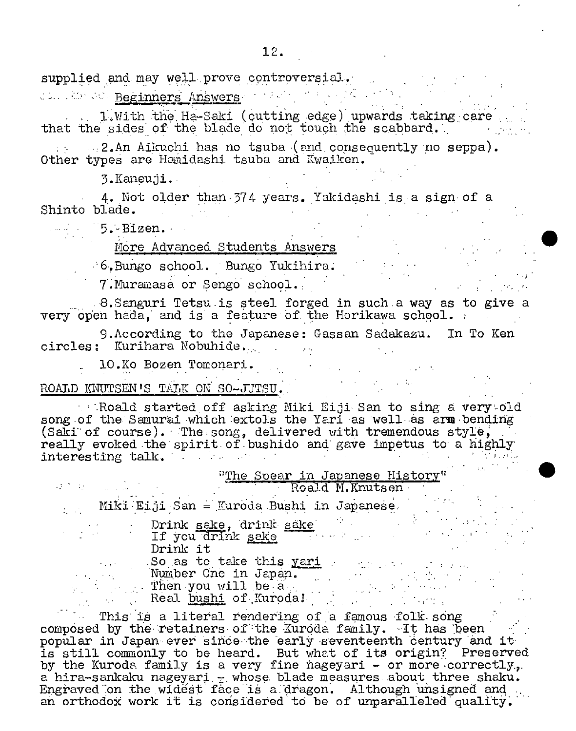supplied and may well prove controversial. die Beginners Answers and March

l,With the Ha-Saki (cutting edge) upwards taking care that the sides of the blade do not touch the scabbard.

2.An Aikuchi has no tsuba (and, copsecuently no seppa). Other types are Hamidashi tsuba and Kwaiken.

3.Kaneuji.

4. Not older than-374 years. Yakidashi is a sign of a Shinto blade.  $\overline{\phantom{a}}$ 

 $5.$  Bizen.

# More Advanced Students Answers

6.Buigo school. Bungo Yukihira; '

7. Muramasa or Sengo school.

.8.Sanguri Tetsu.is steel forged in such.a way as to give a very open hada, and is a feature of the Horikawa school.

9.According to the Japanese: Gassan Sadakazu. In To Ken circles: Kurihara Nobuhide...

10.Ko Bozen Tomonari.

ROALD KNUTSEN'S TALK ON SO-JUTSU.

 $\sim$  Roald started off asking Miki Eiji San to sing a very old song of the Samurai which extols the Yari as well as arm bending (Saki of course). The song, delivered with tremendous style, really evoked the spirit of bushido and gave impetus to a highly interesting talk. The contract of the set of the set of the set of the set of the set of the set of the set of . . .'

| $\mathcal{F}^{\mathcal{A}}_{\mathcal{A}}$ and $\mathcal{F}^{\mathcal{A}}_{\mathcal{A}}$ and $\mathcal{F}^{\mathcal{A}}_{\mathcal{A}}$ |          | "The Spear in Japanese History"                                                                                                                  | Roald M.Knutsen |  |  |
|---------------------------------------------------------------------------------------------------------------------------------------|----------|--------------------------------------------------------------------------------------------------------------------------------------------------|-----------------|--|--|
|                                                                                                                                       |          | Miki Eiji San = Kuroda Bushi in Japanese.                                                                                                        |                 |  |  |
|                                                                                                                                       | Drink it | Drink sake, drink sake<br>If you drink sake with the same                                                                                        |                 |  |  |
|                                                                                                                                       |          | So as to take this <u>yari and the same and the same</u><br>Number One in Japan.<br>$\blacksquare$ . Then you will be a<br>Real bushi of Kuroda! |                 |  |  |

This is a literal rendering of a famous folk song composed by the retainers of the Kuroda family. It has been popular in Japan ever since the early seventeenth century and it popular in outer our since and cally seveneemen century and IV and IV and IV and IV and IV and IV and IV and I by the Kuroda family is a very fine nageyari - or more correctly. a hira-sankaku nageyari.  $z$  whose blade measures about three shaku. Engraved on the widest face is a dragon. Although unsigned and an orthodox work it is considered to be of unparalleled quality.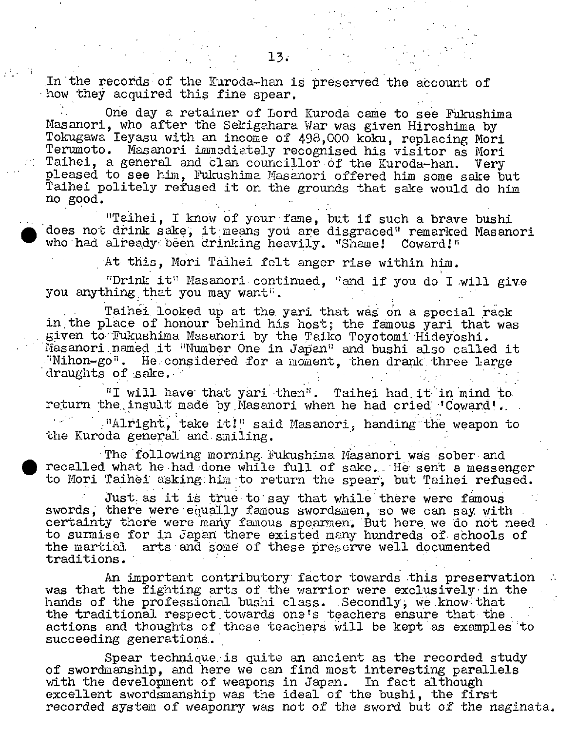In the records of the Kuroda-han is preserved the account of how they acquired this fine spear.

One day a retainer of Lord Kuroda came to see Fükushima Nasanori, who after the Sekigahara War was given Hiroshima by Tokugawa Ieyasu with an income of 498,000 koku, replacing Mori Terumoto. Masanori immediately recognised his visitor as Mori Taihei, a general and clan councillor of the Kuroda-han. Very pleased to see him, Fukushina Masanori offered him some sake but Taihei politely refused it on the grounds that sake would do him no good.

"Taihei, I know of your fame, but if such a brave bushi does not drink sake, it means you are disgraced" remarked Masanori who had already been drinking heavily. "Shame! Coward!"

At this, Mori Tâihei felt anger rise within him.

;?Drink it I'Iasanori continued, "and if you do I Mill give you anything that you may want".

Taihei looked up at the yari that was on a special rack in the place of honour behind his host; the famous yari that was given to' 'Fukushima Masanori by the Taiko Toyotomi 'Hideyoshi. Masanori named it "Number One in Japan" and bushi also called it ."Nihon-go'. He.considered for a moment, then drank. three large draughts of sake.

"I will have that yari then". Taihei had it in mind to return the insult made by Masanori when he had cried 'Coward'. ."Alright, take it!" said Masanori, handing the weapon to the Kuroda general and smiling.

The following morning Fukushima Masanori was sober and recalled what he had done while full of sake. He sent a messenger to Mori Taihel asking: him 'to return the spear, but Taihei refused.

Just as it is true to say that while there were famous swords, there were equally famous swordsmen, so we can say with certainty there were many famous spearmen. But here, we do not need to surmise for in Japan there existed many hundreds of schools of the martial arts and some of these preserve well documented traditions. . .

An important contributory' factor towards this preservation was that the fighting arts of the warrior were exclusively in the hands of the professional bushi class. Secondly, we know that the traditional respect towards one's teachers ensure that the actions and thoughts of these teachers will be kept as examples to succeeding generations.

Spear technique is quite an ancient as the recorded study of swordmanship, and here we can find most interesting parallels with the development of weapons in Japan. In fact although excellent swordsmanship was the ideal of the bushi, the first recorded system of weaponry was not of the sword but of the naginata,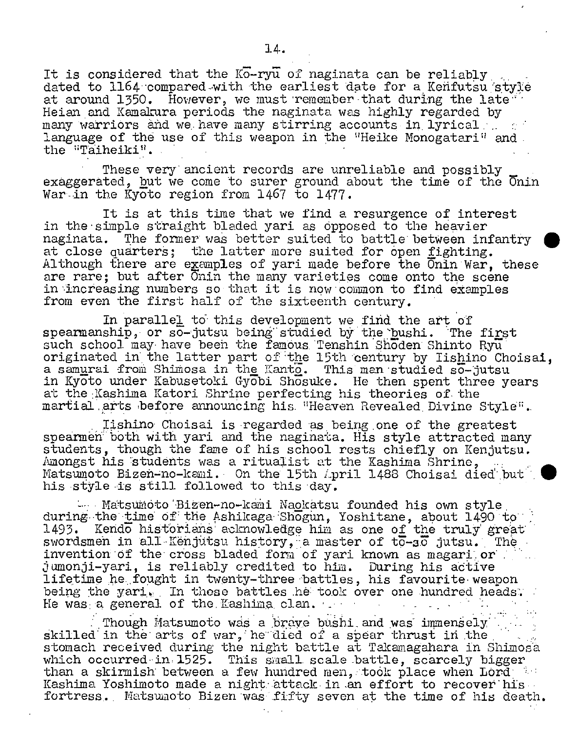It is considered that the  $K_{0}$ -ry $\overline{u}$  of naginata can be reliably dated to 1164 compared with the earliest date for a Kenfutsu style at around 1350. However, we must remember that during the late. Heian and Kamakura periods the naginata was highly regarded by many warriors and we have many stirring accounts in lyrical :.. language of the use of this weapon in the "Heike Monogatari" and the "Taiheiki".

These very ancient records *are* unreliable and possibly exaggerated, but we come to surer ground about the time of the  $\overline{0}$ nin War in the Kyoto region from 1467 to 1477.

It is at this time that we find a resurgence of interest in the simple straight bladed yari as opposed to the heavier<br>naginata. The former was better suited to battle between in The former was better suited to battle between infantry at close quarters; the latter more suited for open fighting. Although there are examples of yari made before the Onin War, these are rare; but after Onin the many varieties come onto the scene in increasing numbers so that it is now common to find examples from even the first half of the sixteenth century.

In parallel to this development we find the art of spearmanship, or  $s\bar{o}$ -jutsu being studied by the bushi. The first such school may have bech the famous, 'Tenshin Shoden Shinto Ryu originated in the latter part of 'the 15th century by lishino Choisal, a samurai from Shimosa in the Lanto. This man studied so-jutsu in Kyoto under Kabusetoki Gyobi Shosuke. He then spent three years at the Kashima Katori Shrine perfecting his theories of the martial arts before announcing his "Heaven Revealed Divine Style".

lishino Choisai is regarded as being one of the greatest speámeh' both with yari and the naginata. His style attracted many students, though the fame of his school rests chiefly on Kenjutsu. Amongst his students was a ritualist at the Kashima Shrine. Matsumoto Bizen-no-kami. On the 15th April 1488 Choisai died but his style is still followed to this day.

- Matsumoto Bizen-no-kami Naokatsu founded his own style during the time of the Ashikaga Shogun, Yoshitane, about 1490 to 1493. Kendo historians' acknowledge him as one of the truly great swordsmen in all Kënjutsu history, a master of  $t\bar{o}$ -so jutsu. The invention of the cross bladed form of yari known as magari or .jumonji-yari, is reliably credited to him. During his aötive lifetime he fought in twenty-three battles, his favourite weapon being the yari. In those battles he took over one hundred heads. He was: a general of the. Kashina. clan.

Though Matsumoto was a brave bushi and was immensely skilled in the arts of war, he died of a spear thrust in the stomach received during the night battle at Takamagahara in Shimosä which occurred in 1525. This small scale battle, scarcely bigger than a skirmish between a few hundred men, took place when Lord Kashima Yoshimoto made a night attack in an effort to recover his fortress. Matsumoto Bizen was fifty seven at the time of his death.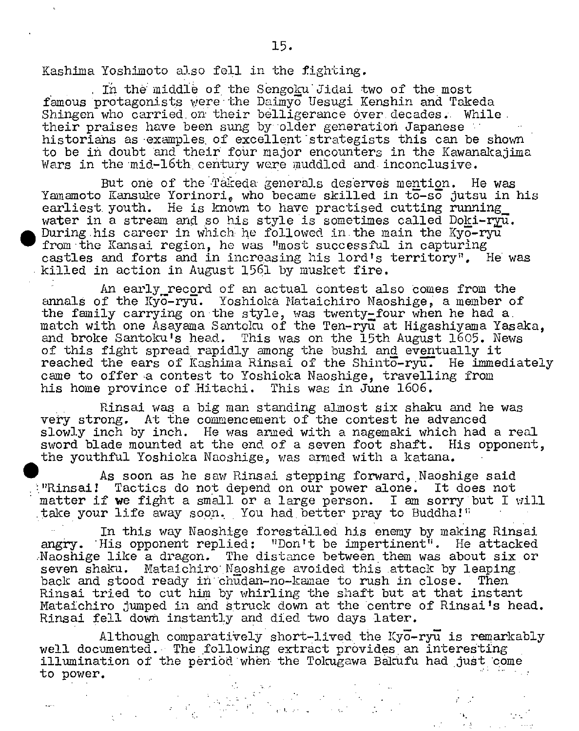Kashima Yoshimoto also fell in the fighting.

 $\bullet$ 

In the middle of the Sengoku Jidai two of the most famous protagonists were the Daimyo Uesugi Kenshin and Tokeda Shingen who carried on their belligerance over decades. While their praises have been sung by older generation Japanese historians as examples of excellent strategists this can be shown to be in doubt and their four major encounters in the Kawanakajima Wars in the mid-l6th century were muddled and inconclusive.

But one of the Takeda generals deserves mention. He was Yamamoto Kansuke Yorinori, who became skilled in to-so jutsu in his earliest youth. He is known to have practised cutting running water in a stream and so his style is sometimes called Doki-ry $\overline{u}$ . During his career in which he followed in the main the Kyo-ryu from the Kansai region, he was "most successful in capturing castles and forts and in increasing his lord's territory". He was killed in action in August 1561 by musket fire.

An early record of an actual contest also comes from the annals of the Kyo-ryu. Yoshioka Mataichiro Naoshige, a member of the family carrying on the style, *was* twenty-four when he had a. match with one Asayama Santoku of the Ten-ryu at Higashiyama Yasaka, and broke Santoku's head. This was on the 15th August 1605. News of this fight spread, rapidly among the hushi and eventually it reached the ears of Kashima Rinsai of the Shinto-ryu. He immediately came to offer a contest to Yoshioka Naoshige, travelling from his home province of.Hitachi. This was in June 1606.

Rinsai was a big man standing almost six shaku and he was very strong. At the commencement of the contest he advanced slowly inch by inch. He was armed with a nagemaki which had a real sword blade mounted at the end of a seven foot shaft. His opponent, the youthful Yoshioka Naoshige,, was armed with a katana.

As soon as he saw Rinsai stepping forward, Naoshige said ':"Rinzai! Tactics do not depend on our power alone. It does not matter if **we** fight a small or a large person. I am sorry but I will take your life away soon. You had better pray to Buddha!"

In this way Naoshige forestalled his enemy by making Rinsai angry. His opponent replied: "Don't be impertinent'. He attacked Naoshige like a dragon. The distance between them was about six or seven shaku. Mataichiro Naoshige avoided this attack by leaping. back and stood ready iñ"chudan-no-kamae to rush in close. Then Rinsai tried to cut him by whirling the shaft but at that instant Mataichiro jumped in and struck down at the centre of Rinsai's head. Rinsai fell down instantly and died two days later.

Although comparatively short-lived the  $Ky\overline{o}$ -ry $\overline{u}$  is remarkably well documented. The following extract provides an interesting illumination of the period when the Tokugawa Bakufu had just come to power.

 $\mathcal{E}^{\text{max}}$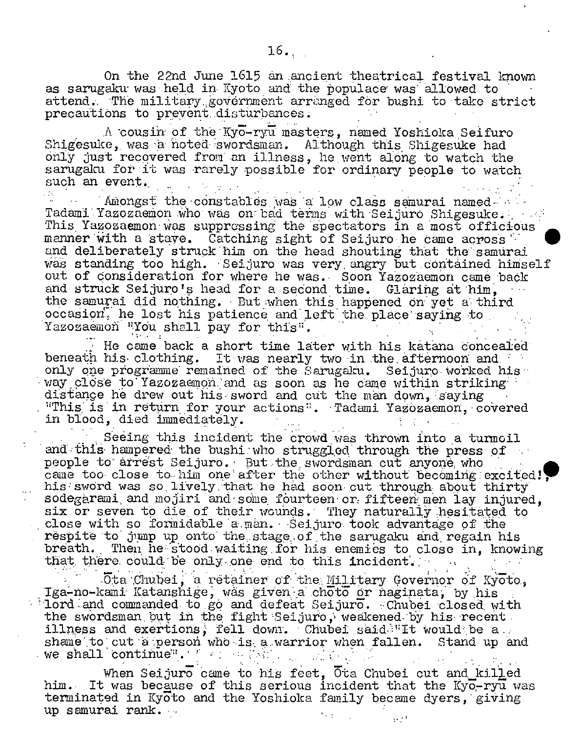On the 22nd June 1615 an ancient theatrical festival known as sarugaku was held in Kyoto and the populace was allowed to attend. The military government arranged for bushi to take strict precautions to prevent disturbances.

A cousin of the Kyo-ryu masters, named Yoshioka Seifuro Shigesuke, was a noted swordsman. Although this Shigesuke had only just recovered from an illness, he went along to watch the sangaku for it was rarely possible for ordinary people to watch such an event.

Amongst the constables ivas a low class samurai named Tadami Yazozaemon who was on bad terms with Seijuro Shigesuke. This Yazozaemon- was suppressing the 'spectators in a most officious radami razozaemon who was on pad terms with Seijuro Shigesuke.<br>This Yazozaemon was suppressing the spectators in a most officious<br>manner with a stave. Catching sight of Seijuro he came across 1<br>and deliberately struck him and deliberately struck him on the head shouting that the samurai was standing too high. Seijuro was very angry but contained himself out of consideration for where he was. Soon Yazozaemon came back and struck Seijuro's head for a second time. Glaring at him. the samurai did nothing. Butwhen this happened On yet a' third occasion, he lost his patience and left the place saying to. Yazozaemoñ "You shall pay for this".

He came back a short time later with his katana concealed beneath his clothing. It was nearly two in the afternoon and only one programme remained of the Sarugaku. Seijuro worked his way close to'Yazozaemon'and as soon as he came within striking distance he drew out his sword and cut the man down, saying "This is in return for your actions". Tadami Yazozaemon, covered in blood, died immediately.

Seeing this incident the crowd was thrown into a turmoil and 'th1s' hampered the bushi: who straggled' through the press pf people to arrest Seijuro. But the swordsman cut anyone who came too close to him one after the other without becoming excited! his: sword was so. lively.'that:he had soon cut, through. about thirty sodegàrami. and mojiri and'sone fourteen' or: fifteen: men lay injured, six or seven to die of their wounds. They naturally hesitated to close with so formidable a man. Seijuro took advantage of the respite to jump up onto the stage of the sarugaku and regain his breath. Then he stood waiting for his enemies to close in, knowing that there could be only one end to this incident.

.0ta Chubei, a retainer of the Military Governor of Kyoto, Iga-no-kami Katanshige, was given a choto or naginata, by his  $\frac{1}{2}$ lord and commanded to go and defeat Seijuro. Chubei closed with the swordsman but in the fight Seijuro, weakened by his recent. illness and exertions, fell down. Chubei said $\mathbb{T}$ It would be a shame to cut a person who is a warrior when fallen. Stand up and we shall continue<sup>a</sup>.

When Seijuro came to his feet. Ota Chubei cut and killed him. It was because of this serious incident that the Kyo-ryu was terminated in Kyoto and the Yoshioka family became dyers, giving up samurai rank... المجرو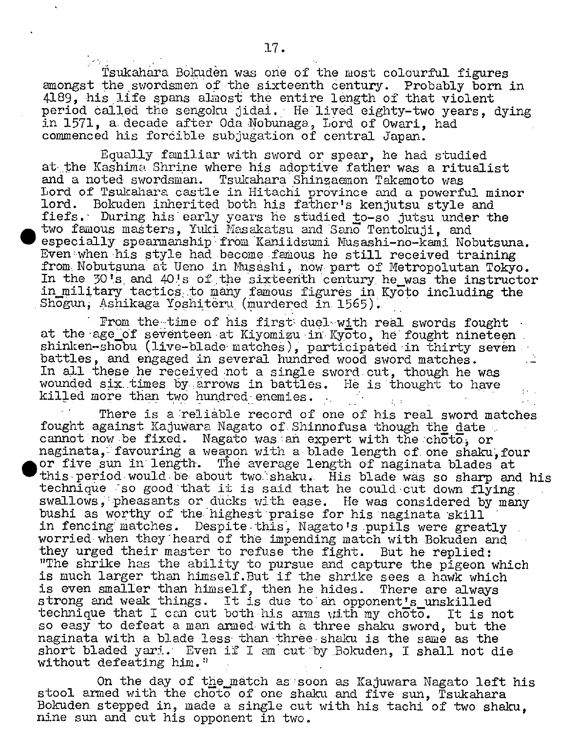Tsukahara Bokudèn was one of the most colourful figures amongst the swordsmen of the sixteenth century. Probably born in 4189, his life spans almost the entire length of that violent period ôallëd the sengoku jidai. He lived eighty-two years, dying in 1571, a decade after Oda Nobunaga, Lord of Owari, had commenced his forcible subjugation of central Japan.

Equally familiar with sword or spear, he had studied at the Kashima Shrine where his adoptive father was a ritualist and a noted swordsman. Tsukahara Shinzaemon Takanoto was Lord of Tsukahara castle in Hitachi province and a powerful minor lord. Bokuden inherited both his father's kenjutsu style and fiefs.' During his early years he studied to-so jutsu under the two famous maéters, Yaki Hasakatsu and Sano Tentokuji, and especially spearmanship from Kaniidzumi Musashi-no-kami Nobutsuna. Even when his style had become famous he still received training from Nobutsuna at Ueno in Nusashi, now part of Metropolutan Tokyo. In the 30's and 40's of the sixteenth century he\_was the instructor in military tactics to many famous figures in Kyoto including the Shogun, Ashikaga Yoshiteru (murdered in 1565).

.

.

From the-time of his first duel-with real swords fought at the age\_of seventeen at Kiyomizu in Kyoto, he fought nineteen shinken-shobu (live-blade matches), participated in thirty seven battles, and engaged in several hundred wood sword matches. In all these he receiyed not a single sword cut, though he was wounded six times by arrows in battles. He is thought to have killed more than two hundred enemies. •.

There is a reliable record of one of his real sword matches fought against Kajuwara Nagato of Shinnofusa though the date cannot now be fixed. Nagato was an expert with the  $ch\overline{ot}$ , or naginata, favouring a weapon with a blade length of one shaku, four or five sun In length. The average length of naginata blades at this period would be about two shaku. His blade was so sharp and his technique so good that it is said that he could cut down flying swallows, pheasants or ducks with ease. He was considered by many bushi as worthy of the highest praise for his naginata skill in fencing matches. Despite this, Nagato's pupils were greatly worried when they heard of the impending match with Bokuden and they urged their master to refuse the fight. But he replied: "The shrike has the ability to pursue and capture the pigeon which is much larger than himself.But if the shrike sees a hawk which is even smaller than himself, then he hides. There are always strong and weak things. It is due to an opponent's unskilled technique that I can cut both his arms with my choto. It is not so easy to defeat a man armed with a three shaku sword, but the naginata with a blade less than thréeshaku is the same as the short bladed yari. Even if I am cut by Bokuden, I shall not die without defeating him."

On the day of the match as soon as Kajuwara Nagato left his stool armed with the choto of one shaku and five sun, Tsukahara Bokuden stepped in, made a single cut with his tachi of two shaku, nine sun and cut his opponent in two.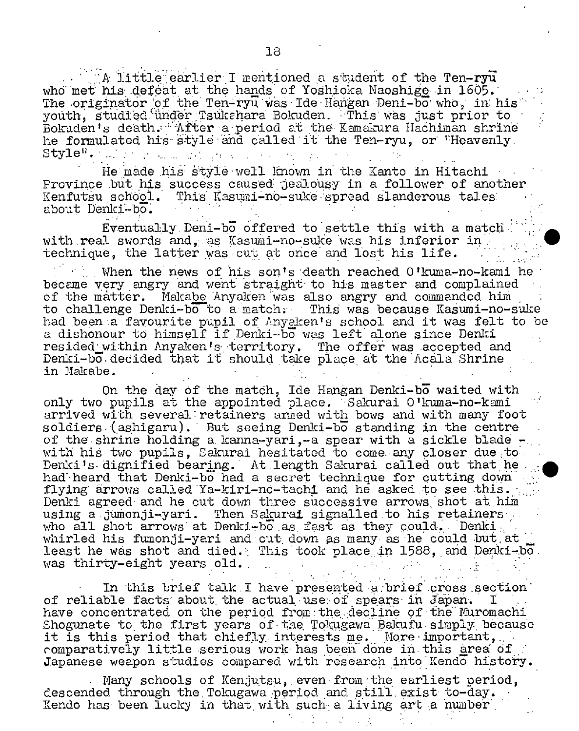A little earlier I mentioned a student of the Ten-ry $\vec{u}$ who met his defeat at the hands of Yoshicka Naoshige in  $1605$ . The originator of the Ten-ryu was Ide Hangan Deni-bo who, in his youth, studied under Tsukahara Bokuden. This was just prior to Bokuden's death. After a period at the Kamakura Hachiman shrine he formulated his style and called it the Ten-ryu, or "Heavenly.  $\mathsf{Stvle}^{\mathsf{H}}$ . .:  $\cdots$ -': '•. . '.' I

He made his style well known in the Kanto in Hitachi Province but his success caused jealousy in a follower of another Kenfutsu school. This Kasumi-no-suke spread slanderous tales: about Denki-bo.

•'

Eventually Deni-b6 offered to settle this with a match with real swords and, as Kasumi-no-suke was his inferior in technique, the latter was cut at once and lost his life.

When the news of his son's death reached 0 'kuma-no-kami he became very angry and went straight' to his master and complained of the matter. Makabe Anyaken was also angry and commanded him to challenge Denki-bo to a match. This was because Kasumi-no-suke. had been a favourite pupil of Anyaken's school and it was felt to be a dishonour to himself if' Denki-bo was left alone since Denizi resided within Anyaken's territory. The offer was accepted and Denki-bo decided that it should take place at the Acala Shrine in Makahe.

On the day of the match, Ide Hangan Denki-bo waited with only two pupils at the appointed place. "Sakurai O'kuma-no-kami arrived with several: retainers anned with bows and with many foot soldiers.(ashigant). But seeing Denki-bo standing in the centre of the shrine holding a kanna-yari,-a spear with a sickle blade with his two pupils, Sakurai hesitated to come any closer due to Denki's dignified bearing. At length Sakurai called out that he. had heard that Denki-bo had a secret technique for cutting down flying arrows called Ya-kiri-no-tachi and he asked to see this. Denki agreed and he cut down three successive arrows shot at him using a jumonji-yari. Then Sakurai signalled to his retainers who all shot arrows at Denki-bo as fast as they could. Denki... whirled his fumonji-yari and cut down as many as he could but at least he was shot and died. This took place in 1588, and Denki-ho. was thirty-eight years old.

In this brief talk I have presented a brief cross section of reliable facts' about, the actual use: of spears' in Japan'. I have concentrated on the period from the decline of the Muromachi Shogunate to the first years of the Tokugawa Bakufu- simply because it is this period that chiefly interests me. More important, romparatively little serious work has been done in this area of. Japanese weapon studies compared with research into Kendo history.

Many schools of Kenjutsu, even from the earliest period, descended through the Tokugawa period and still exist to-day. Kendo has been lucky in that with such a living art a number,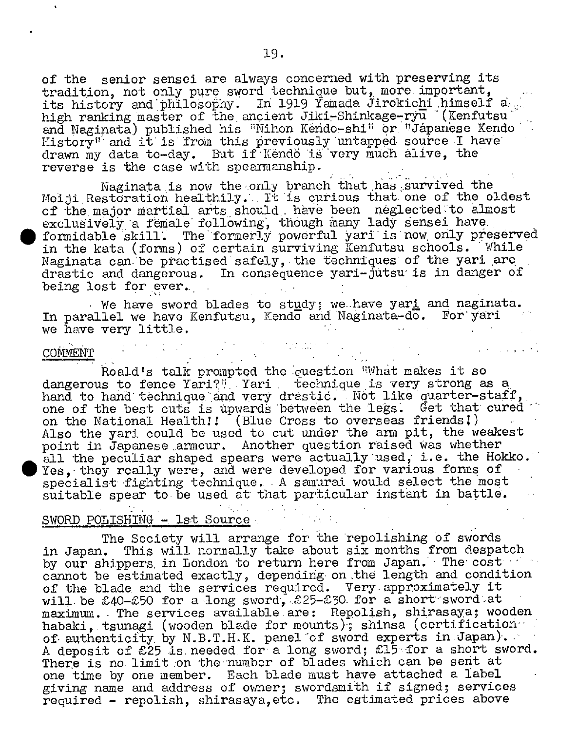of the senior sensei are always concerned with preserving its tradition, not only pure sword technique but, more important, its history and philosophy. In 1919 Yamada Jirokichi himself a high ranking master of the ancient Jiki-Shinkage-ryu (Kenfutsu) and Naginata) published his "Nihon Kendo-shi" or "Jápanese Kendo History" and it is from this previously untapped source I have drawn my data to-day. But if Kendo is very much alive, the reverse is the case with spearmanship.

Naginata is now the only branch that has survived the Meiji Restoration healthily. It is curious that one of the oldest of the major martial arts should. have been neglected to almost exclusively a female following, though many lady sensei have. • formidable 'skilL. The formerly powerful yari is now only preserved in the kata (forms) of certain surviving Kenfutsu schools. While Naginata can be practised safely, the techniques of the yari are drastic and dangerous. In consequence yari-jutsu is in danger of being lost for ever.

We have sword blades to study; we have yar<u>i</u> and naginata. In parallel we have Kenfutsu, Kendo and Naginata-do. For yari we have very little.

#### COMMENT

Roald's talk prompted the question "What makes it so dangerous to fence Yari?". Yari technique is very strong as a hand to hand technique and very drastic. Not like quarter-staff, one of the best cuts is upwards between the legs. Get that cured on the National Health!! [Blue Cross to overseas friends!) Also the yari could be used to cut under the arm pit, the weakest point in Japanese armour. Another question raised was whether all the peculiar shaped spears were actually used, i.e. the Hokko. Yes, they really were, and were developed for various forms of specialist fighting technique.. A samurai would select the most suitable spear to be used at that particular instant in battle.

SWORD POLISHING - 1st Source<br>The Society will arrange for the repolishing of swords in Japan. This will normally take about six months from despatch by our shippers in London to return here from Japan. The cost cannot be estimated exactly, depending on the length and condition of the blade, and the services required. Very.approximately it will be £40-£50 for a long sword, £25-£30 for a short sword at maximum. The services available are: Repolish, shirasaya; wooden habaki, tsunagi (wooden blade for mounts); shinsa (certification of authenticity by N.B.T.H.K. panel of sword experts in Japan). A deposit of £25 is. needed for'a long sword; £15".for a short sword. There is no limit on the number of blades which can be sent at one time by one member. Each blade must have attached a label giving name and address of owner; swordsmith if signed; services required - repolish, shirasaya,etc. The estimated prices above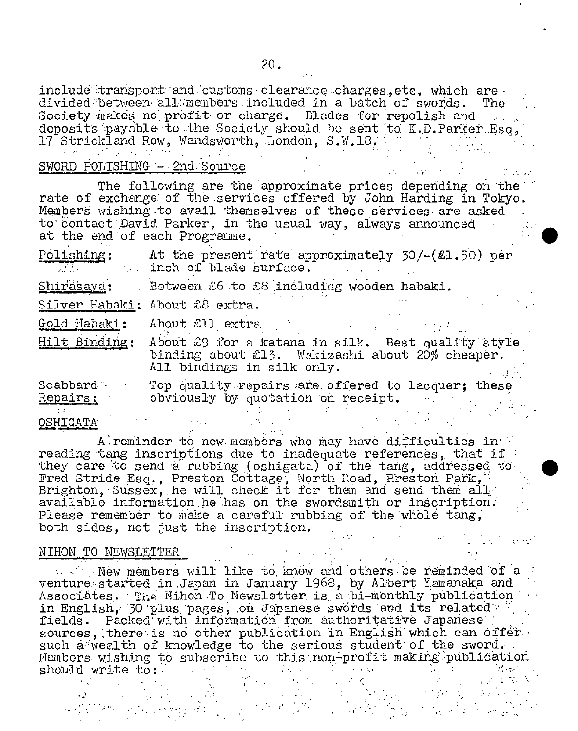include transport:and customs clearance charges, etc. which are divided between all members included in a batch of swords. The Society makes no profit or charge. Blades for repolish and. deposits payable to the Society should be sent to  $\mathtt{K.D. Parker~Esq,}$ 17 Strickland Row, Wandsworth, London, S.W.18.

### SWORD POLISHING - 2nd Source

The following are the approximate prices depending on the rate of exchange: of the servibes offered by John Harding in Tokyo. Members wishing to avail themselves of these services are asked to contact David Parker, in the usual way, always announced at the end of each Programme.

 $\cdot$  ;  $\cdot$ 

| Polishing:<br>a na mata | At the present rate approximately $30/-(21.50)$ per<br>inch of blade surface.                                                      |
|-------------------------|------------------------------------------------------------------------------------------------------------------------------------|
| Shirasaya:              | Between 26 to 28 including wooden habaki.                                                                                          |
|                         | Silver Habaki: About £8 extra.                                                                                                     |
|                         | Gold Habaki: About 211 extra                                                                                                       |
| Hilt Binding:           | About 29 for a katana in silk. Best quality style<br>binding about £13. Wakizashi about 20% cheaper.<br>All bindings in silk only. |
| Scabbard<br>Repairs:    | Top quality repairs are offered to lacquer; these<br>obviously by quotation on receipt.                                            |
| <b>OSHIGATA</b>         |                                                                                                                                    |

A reminder to new members who may have difficulties in reading tang inscriptions due to inadequate references, that if they care to send a rubbing (oshigata) of the tang, addressed to-Fred Stride Esq., Preston Cottage, North Road, Preston Park, Brighton, Sussex, he will check it for them and send them all available information he has on the swordsmith or inscription. Please remember to make a careful rubbing of the whole tang, both sides, not just the inscription. -denotes the set of the set of the set of the  $\mathcal{O}(\mathcal{O}_\mathcal{A})$ 

### NIHON TO NEWSLETTER

. New members will like to know and others be reminded of a venture started in Japan in January 1968, by Albert Yamanaka and Associates. The Nihon To Newsletter is a bi-monthly publication in English, 30 plus pages, on Japanese swords and its related i fields. Packed with information from authoritative Japanese sources, there is no other publication in English which can offersuch a wealth of knowledge to the serious student of the sword. Members wishing to subscribe to this non-profit making publication should write to: